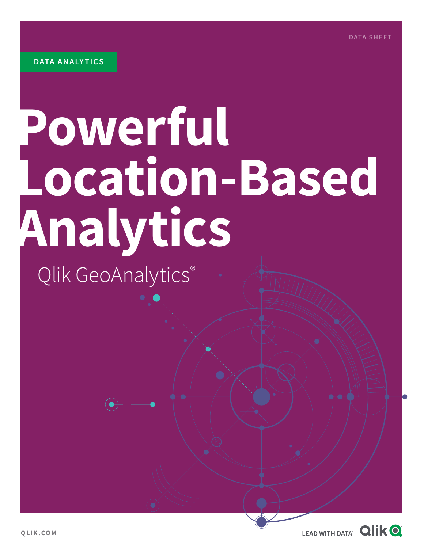# **Powerful Location-Based Analytics**

Qlik GeoAnalytics®

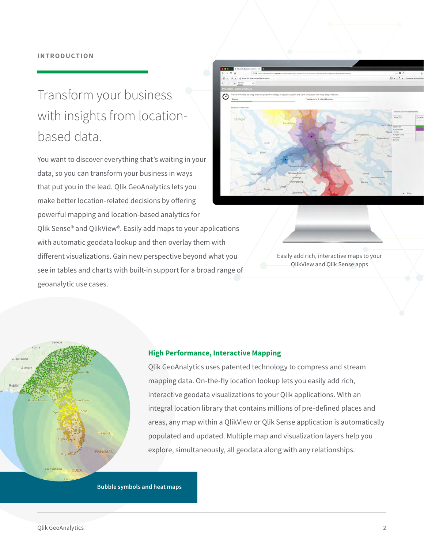## Transform your business with insights from locationbased data.

You want to discover everything that's waiting in your data, so you can transform your business in ways that put you in the lead. Qlik GeoAnalytics lets you make better location-related decisions by offering powerful mapping and location-based analytics for Qlik Sense® and QlikView®. Easily add maps to your applications with automatic geodata lookup and then overlay them with different visualizations. Gain new perspective beyond what you see in tables and charts with built-in support for a broad range of geoanalytic use cases.



Easily add rich, interactive maps to your QlikView and Qlik Sense apps



### **High Performance, Interactive Mapping**

Qlik GeoAnalytics uses patented technology to compress and stream mapping data. On-the-fly location lookup lets you easily add rich, interactive geodata visualizations to your Qlik applications. With an integral location library that contains millions of pre-defined places and areas, any map within a QlikView or Qlik Sense application is automatically populated and updated. Multiple map and visualization layers help you explore, simultaneously, all geodata along with any relationships.

**Bubble symbols and heat maps**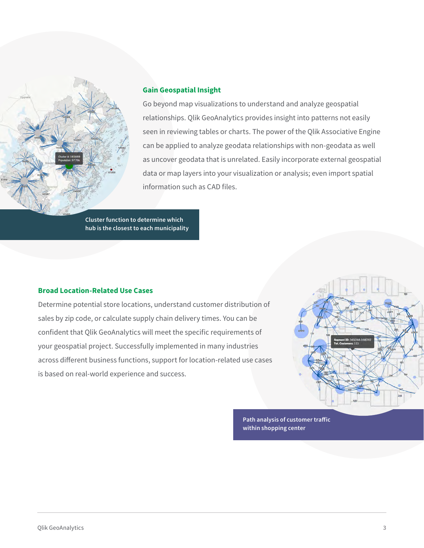

## **Gain Geospatial Insight**

Go beyond map visualizations to understand and analyze geospatial relationships. Qlik GeoAnalytics provides insight into patterns not easily seen in reviewing tables or charts. The power of the Qlik Associative Engine can be applied to analyze geodata relationships with non-geodata as well as uncover geodata that is unrelated. Easily incorporate external geospatial data or map layers into your visualization or analysis; even import spatial information such as CAD files.

**Cluster function to determine which hub is the closest to each municipality**

### **Broad Location-Related Use Cases**

Determine potential store locations, understand customer distribution of sales by zip code, or calculate supply chain delivery times. You can be confident that Qlik GeoAnalytics will meet the specific requirements of your geospatial project. Successfully implemented in many industries across different business functions, support for location-related use cases is based on real-world experience and success.



**Path analysis of customer traffic within shopping center**